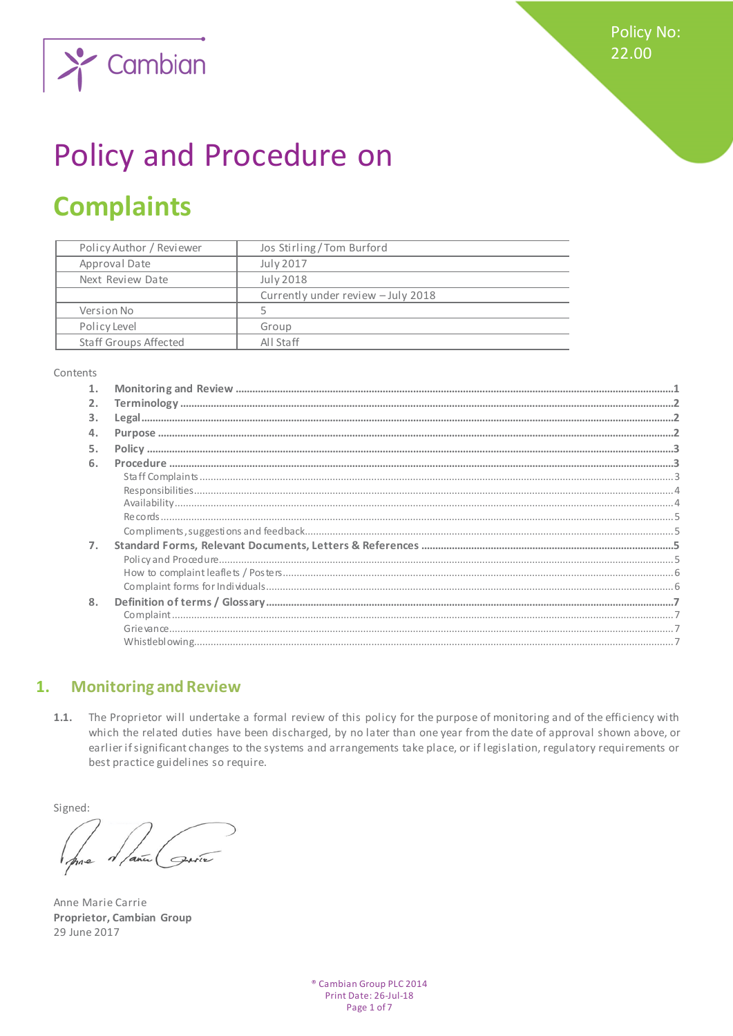**Policy No:** 22.00



# Policy and Procedure on

## **Complaints**

| Policy Author / Reviewer     | Jos Stirling/Tom Burford           |
|------------------------------|------------------------------------|
| Approval Date                | July 2017                          |
| Next Review Date             | July 2018                          |
|                              | Currently under review - July 2018 |
| Version No                   |                                    |
| Policy Level                 | Group                              |
| <b>Staff Groups Affected</b> | All Staff                          |

#### Contents

| 1. |  |
|----|--|
| 2. |  |
| 3. |  |
| 4. |  |
| 5. |  |
| 6. |  |
|    |  |
|    |  |
|    |  |
|    |  |
|    |  |
| 7. |  |
|    |  |
|    |  |
|    |  |
| 8. |  |
|    |  |
|    |  |
|    |  |

#### <span id="page-0-0"></span>**Monitoring and Review** 1.

 $1.1.$ The Proprietor will undertake a formal review of this policy for the purpose of monitoring and of the efficiency with which the related duties have been discharged, by no later than one year from the date of approval shown above, or earlier if significant changes to the systems and arrangements take place, or if legislation, regulatory requirements or best practice guidelines so require.

Signed:

Anne Marie Carrie Proprietor, Cambian Group 29 June 2017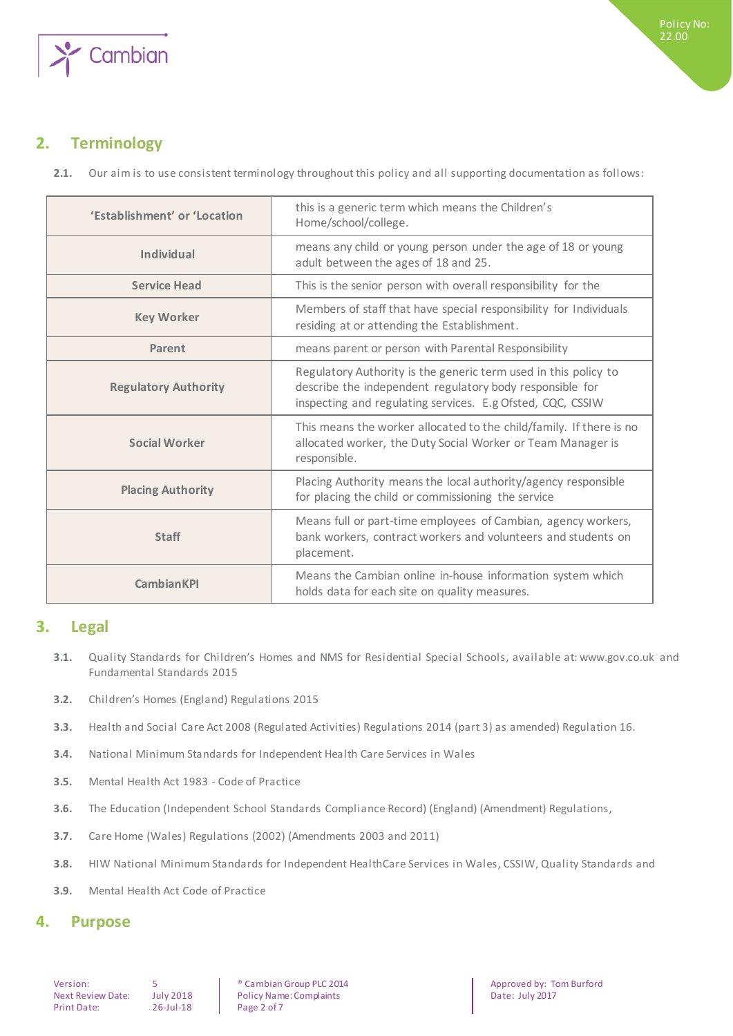

## <span id="page-1-0"></span>**2. Terminology**

**2.1.** Our aim is to use consistent terminology throughout this policy and all supporting documentation as follows:

| 'Establishment' or 'Location | this is a generic term which means the Children's<br>Home/school/college.                                                                                                                 |
|------------------------------|-------------------------------------------------------------------------------------------------------------------------------------------------------------------------------------------|
| <b>Individual</b>            | means any child or young person under the age of 18 or young<br>adult between the ages of 18 and 25.                                                                                      |
| <b>Service Head</b>          | This is the senior person with overall responsibility for the                                                                                                                             |
| <b>Key Worker</b>            | Members of staff that have special responsibility for Individuals<br>residing at or attending the Establishment.                                                                          |
| Parent                       | means parent or person with Parental Responsibility                                                                                                                                       |
| <b>Regulatory Authority</b>  | Regulatory Authority is the generic term used in this policy to<br>describe the independent regulatory body responsible for<br>inspecting and regulating services. E.g Ofsted, CQC, CSSIW |
| Social Worker                | This means the worker allocated to the child/family. If there is no<br>allocated worker, the Duty Social Worker or Team Manager is<br>responsible.                                        |
| <b>Placing Authority</b>     | Placing Authority means the local authority/agency responsible<br>for placing the child or commissioning the service                                                                      |
| <b>Staff</b>                 | Means full or part-time employees of Cambian, agency workers,<br>bank workers, contract workers and volunteers and students on<br>placement.                                              |
| <b>CambianKPI</b>            | Means the Cambian online in-house information system which<br>holds data for each site on quality measures.                                                                               |

## <span id="page-1-1"></span>**3. Legal**

- **3.1.** Quality Standards for Children's Homes and NMS for Residential Special Schools, available at: www.gov.co.uk and Fundamental Standards 2015
- **3.2.** Children's Homes (England) Regulations 2015
- **3.3.** Health and Social Care Act 2008 (Regulated Activities) Regulations 2014 (part 3) as amended) Regulation 16.
- **3.4.** National Minimum Standards for Independent Health Care Services in Wales
- **3.5.** Mental Health Act 1983 Code of Practice
- **3.6.** The Education (Independent School Standards Compliance Record) (England) (Amendment) Regulations,
- **3.7.** Care Home (Wales) Regulations (2002) (Amendments 2003 and 2011)
- **3.8.** HIW National Minimum Standards for Independent HealthCare Services in Wales, CSSIW, Quality Standards and
- <span id="page-1-2"></span>**3.9.** Mental Health Act Code of Practice

## **4. Purpose**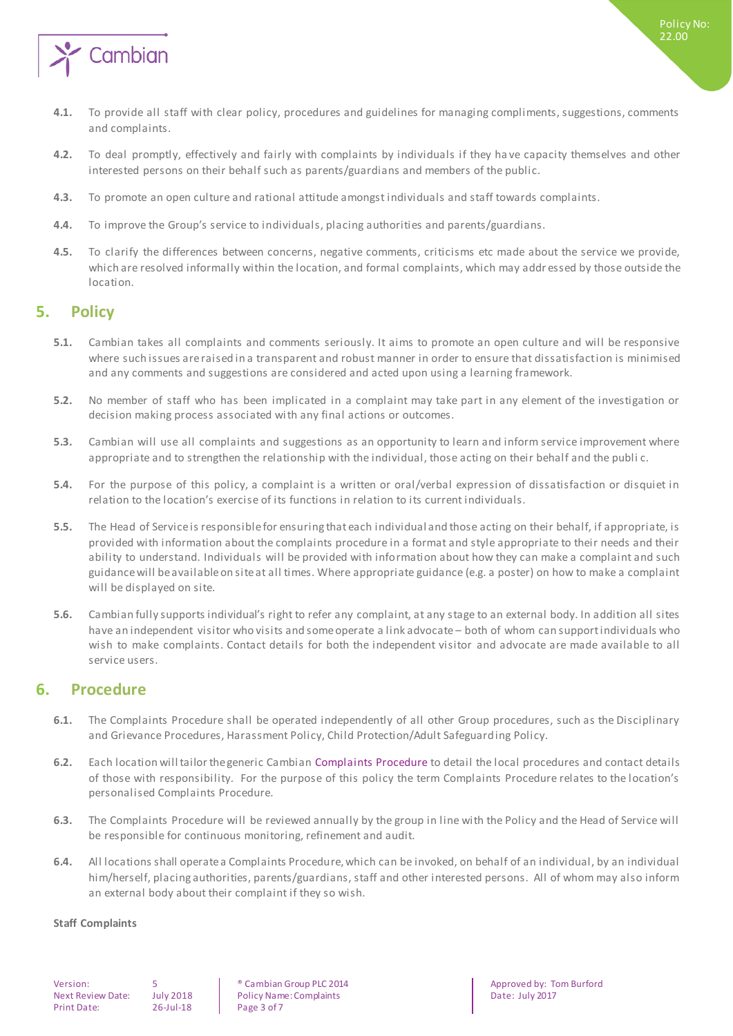

- **4.1.** To provide all staff with clear policy, procedures and guidelines for managing compliments, suggestions, comments and complaints.
- **4.2.** To deal promptly, effectively and fairly with complaints by individuals if they ha ve capacity themselves and other interested persons on their behalf such as parents/guardians and members of the public.
- **4.3.** To promote an open culture and rational attitude amongst individuals and staff towards complaints.
- **4.4.** To improve the Group's service to individuals, placing authorities and parents/guardians.
- **4.5.** To clarify the differences between concerns, negative comments, criticisms etc made about the service we provide, which are resolved informally within the location, and formal complaints, which may addr essed by those outside the location.

## <span id="page-2-0"></span>**5. Policy**

- **5.1.** Cambian takes all complaints and comments seriously. It aims to promote an open culture and will be responsive where such issues are raised in a transparent and robust manner in order to ensure that dissatisfaction is minimised and any comments and suggestions are considered and acted upon using a learning framework.
- **5.2.** No member of staff who has been implicated in a complaint may take part in any element of the investigation or decision making process associated with any final actions or outcomes.
- **5.3.** Cambian will use all complaints and suggestions as an opportunity to learn and inform service improvement where appropriate and to strengthen the relationship with the individual, those acting on their behalf and the publi c.
- **5.4.** For the purpose of this policy, a complaint is a written or oral/verbal expression of dissatisfaction or disquiet in relation to the location's exercise of its functions in relation to its current individuals.
- **5.5.** The Head of Service is responsible for ensuring that each individual and those acting on their behalf, if appropriate, is provided with information about the complaints procedure in a format and style appropriate to their needs and their ability to understand. Individuals will be provided with information about how they can make a complaint and such guidance will be available on site at all times. Where appropriate guidance (e.g. a poster) on how to make a complaint will be displayed on site.
- **5.6.** Cambian fully supports individual's right to refer any complaint, at any stage to an external body. In addition all sites have an independent visitor who visits and some operate a link advocate – both of whom can support individuals who wish to make complaints. Contact details for both the independent visitor and advocate are made available to all service users.

## <span id="page-2-1"></span>**6. Procedure**

- **6.1.** The Complaints Procedure shall be operated independently of all other Group procedures, such as the Disciplinary and Grievance Procedures, Harassment Policy, Child Protection/Adult Safeguarding Policy.
- **6.2.** Each location will tailor the generic Cambian Complaints Procedure to detail the local procedures and contact details of those with responsibility. For the purpose of this policy the term Complaints Procedure relates to the location's personalised Complaints Procedure.
- **6.3.** The Complaints Procedure will be reviewed annually by the group in line with the Policy and the Head of Service will be responsible for continuous monitoring, refinement and audit.
- **6.4.** All locations shall operate a Complaints Procedure, which can be invoked, on behalf of an individual, by an individual him/herself, placing authorities, parents/guardians, staff and other interested persons. All of whom may also inform an external body about their complaint if they so wish.

#### <span id="page-2-2"></span>**Staff Complaints**

Print Date: 26-Jul-18 Page 3 of 7

Next Review Date: July 2018 | Policy Name: Complaints | Date: July 2017

Version: 5 5 Section: 5 Section: 5 Section of the Cambian Group PLC 2014<br>
Next Review Date: July 2018 Policy Name: Complaints Complaints Date: July 2017

Policy No: 22.00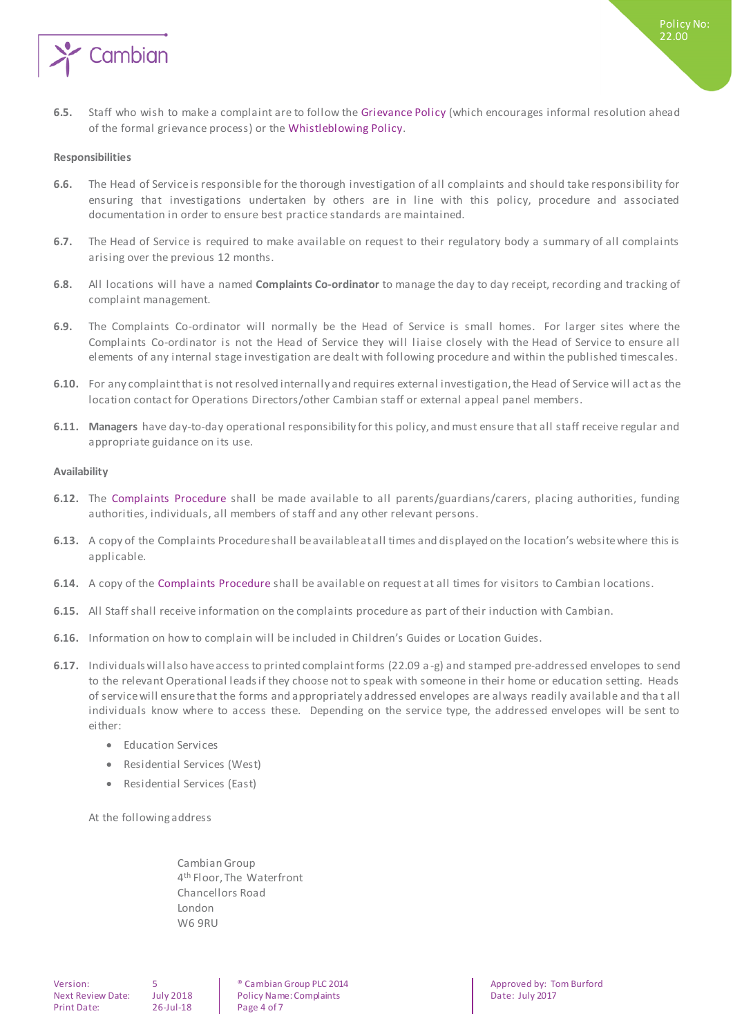

**6.5.** Staff who wish to make a complaint are to follow the Grievance Policy (which encourages informal resolution ahead of the formal grievance process) or the Whistleblowing Policy.

#### <span id="page-3-0"></span>**Responsibilities**

- **6.6.** The Head of Service is responsible for the thorough investigation of all complaints and should take responsibility for ensuring that investigations undertaken by others are in line with this policy, procedure and associated documentation in order to ensure best practice standards are maintained.
- **6.7.** The Head of Service is required to make available on request to their regulatory body a summary of all complaints arising over the previous 12 months.
- **6.8.** All locations will have a named **Complaints Co-ordinator** to manage the day to day receipt, recording and tracking of complaint management.
- **6.9.** The Complaints Co-ordinator will normally be the Head of Service is small homes. For larger sites where the Complaints Co-ordinator is not the Head of Service they will l iaise closely with the Head of Service to ensure all elements of any internal stage investigation are dealt with following procedure and within the published timescales.
- **6.10.** For any complaint that is not resolved internally and requires external investigation, the Head of Service will act as the location contact for Operations Directors/other Cambian staff or external appeal panel members.
- **6.11. Managers** have day-to-day operational responsibility for this policy, and must ensure that all staff receive regular and appropriate guidance on its use.

#### <span id="page-3-1"></span>**Availability**

- **6.12.** The Complaints Procedure shall be made available to all parents/guardians/carers, placing authorities, funding authorities, individuals, all members of staff and any other relevant persons.
- **6.13.** A copy of the Complaints Procedure shall be available at all times and displayed on the location's website where this is applicable.
- **6.14.** A copy of the Complaints Procedure shall be available on request at all times for visitors to Cambian locations.
- **6.15.** All Staff shall receive information on the complaints procedure as part of their induction with Cambian.
- **6.16.** Information on how to complain will be included in Children's Guides or Location Guides.
- **6.17.** Individuals will also have access to printed complaint forms (22.09 a -g) and stamped pre-addressed envelopes to send to the relevant Operational leads if they choose not to speak with someone in their home or education setting. Heads of service will ensure that the forms and appropriately addressed envelopes are always readily available and tha t all individuals know where to access these. Depending on the service type, the addressed envelopes will be sent to either:
	- **•** Education Services
	- Residential Services (West)
	- Residential Services (East)

At the following address

Cambian Group 4<sup>th</sup> Floor, The Waterfront Chancellors Road London W6 9RU

<span id="page-3-2"></span>Version: 5 5 Section: 5 Section: 5 Section of the Cambian Group PLC 2014<br>
Next Review Date: July 2018 Policy Name: Complaints Complaints Date: July 2017 Next Review Date: July 2018 | Policy Name: Complaints | Date: July 2017

Policy No: 22.00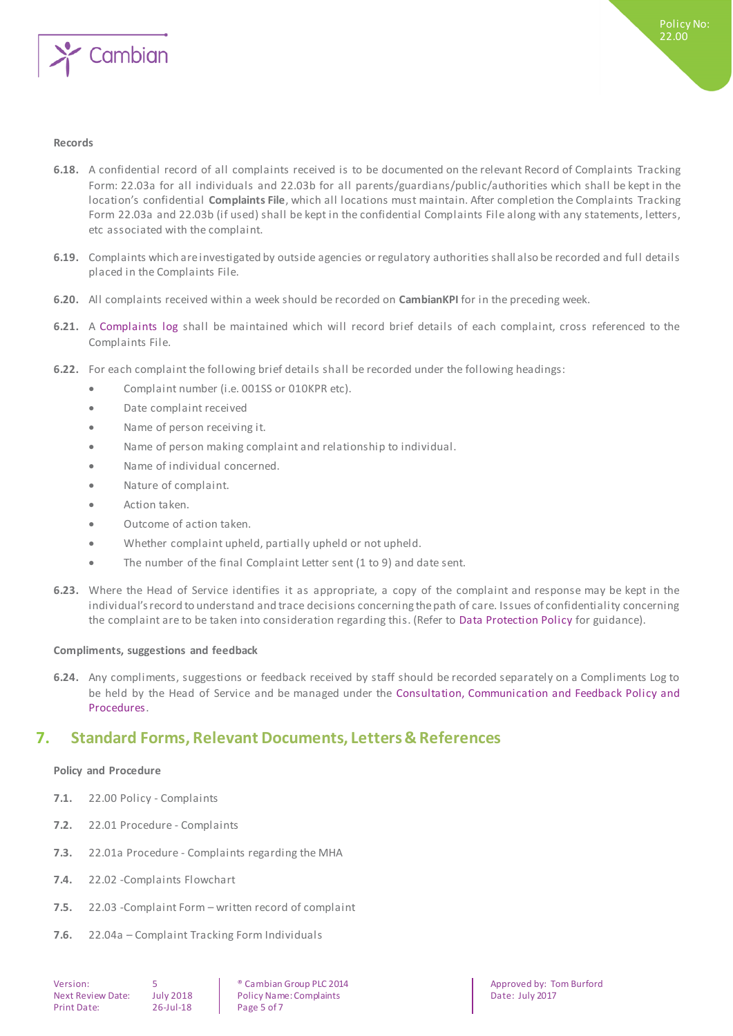

### **Records**

- **6.18.** A confidential record of all complaints received is to be documented on the relevant Record of Complaints Tracking Form: 22.03a for all individuals and 22.03b for all parents/guardians/public/authorities which shall be kept in the location's confidential **Complaints File**, which all locations must maintain. After completion the Complaints Tracking Form 22.03a and 22.03b (if used) shall be kept in the confidential Complaints File along with any statements, letters, etc associated with the complaint.
- **6.19.** Complaints which are investigated by outside agencies or regulatory authorities shall also be recorded and full details placed in the Complaints File.
- **6.20.** All complaints received within a week should be recorded on **CambianKPI** for in the preceding week.
- **6.21.** A Complaints log shall be maintained which will record brief details of each complaint, cross referenced to the Complaints File.
- **6.22.** For each complaint the following brief details shall be recorded under the following headings:
	- Complaint number (i.e. 001SS or 010KPR etc).
	- Date complaint received
	- Name of person receiving it.
	- Name of person making complaint and relationship to individual.
	- Name of individual concerned.
	- Nature of complaint.
	- Action taken.
	- Outcome of action taken.
	- Whether complaint upheld, partially upheld or not upheld.
	- The number of the final Complaint Letter sent (1 to 9) and date sent.
- **6.23.** Where the Head of Service identifies it as appropriate, a copy of the complaint and response may be kept in the individual's record to understand and trace decisions concerning the path of care. Issues of confidentiality concerning the complaint are to be taken into consideration regarding this. (Refer to Data Protection Policy for guidance).

#### <span id="page-4-0"></span>**Compliments, suggestions and feedback**

**6.24.** Any compliments, suggestions or feedback received by staff should be recorded separately on a Compliments Log to be held by the Head of Service and be managed under the Consultation, Communication and Feedback Policy and Procedures.

## <span id="page-4-1"></span>**7. Standard Forms, Relevant Documents, Letters & References**

#### <span id="page-4-2"></span>**Policy and Procedure**

- **7.1.** 22.00 Policy Complaints
- **7.2.** 22.01 Procedure Complaints
- **7.3.** 22.01a Procedure Complaints regarding the MHA
- **7.4.** 22.02 -Complaints Flowchart
- **7.5.** 22.03 -Complaint Form written record of complaint
- **7.6.** 22.04a Complaint Tracking Form Individuals

Version: 5 ® Cambian Group PLC 2014 Approved by: Tom Burford Next Review Date: July 2018 | Policy Name: Complaints | Date: July 2017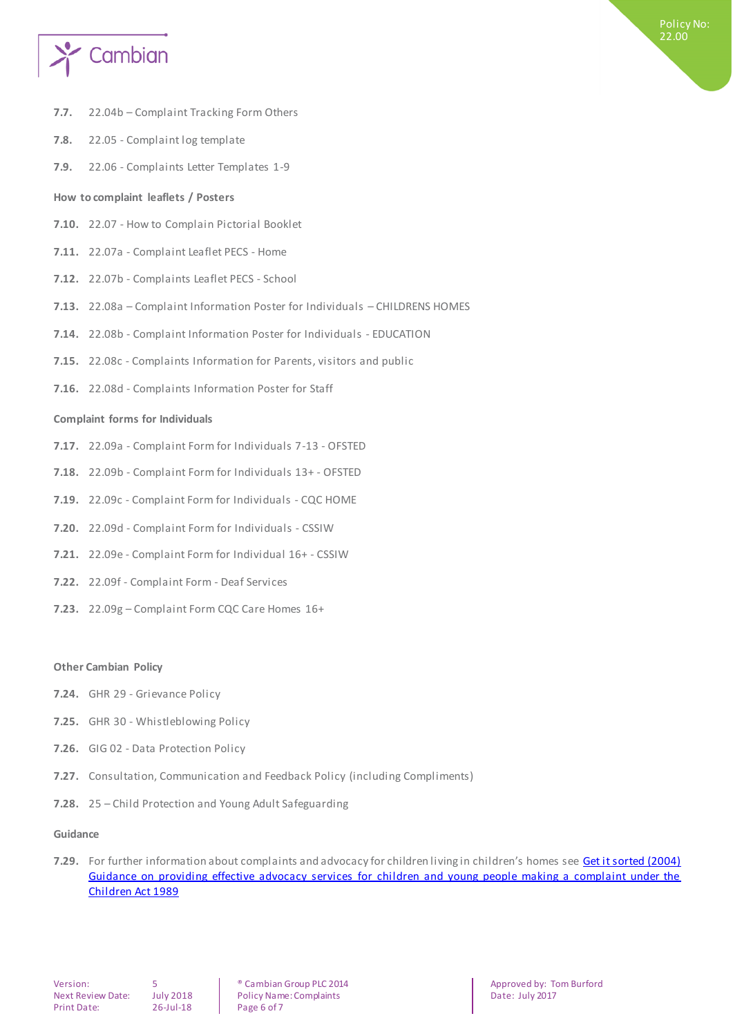

- **7.7.** 22.04b Complaint Tracking Form Others
- **7.8.** 22.05 Complaint log template
- **7.9.** 22.06 Complaints Letter Templates 1-9

#### <span id="page-5-0"></span>**How to complaint leaflets / Posters**

- **7.10.** 22.07 How to Complain Pictorial Booklet
- **7.11.** 22.07a Complaint Leaflet PECS Home
- **7.12.** 22.07b Complaints Leaflet PECS School
- **7.13.** 22.08a Complaint Information Poster for Individuals CHILDRENS HOMES
- **7.14.** 22.08b Complaint Information Poster for Individuals EDUCATION
- **7.15.** 22.08c Complaints Information for Parents, visitors and public
- <span id="page-5-1"></span>**7.16.** 22.08d - Complaints Information Poster for Staff

#### **Complaint forms for Individuals**

- **7.17.** 22.09a Complaint Form for Individuals 7-13 OFSTED
- **7.18.** 22.09b Complaint Form for Individuals 13+ OFSTED
- **7.19.** 22.09c Complaint Form for Individuals CQC HOME
- **7.20.** 22.09d Complaint Form for Individuals CSSIW
- **7.21.** 22.09e Complaint Form for Individual 16+ CSSIW
- **7.22.** 22.09f Complaint Form Deaf Services
- **7.23.** 22.09g Complaint Form CQC Care Homes 16+

#### **Other Cambian Policy**

- **7.24.** GHR 29 Grievance Policy
- **7.25.** GHR 30 Whistleblowing Policy
- **7.26.** GIG 02 Data Protection Policy
- **7.27.** Consultation, Communication and Feedback Policy (including Compliments)
- **7.28.** 25 Child Protection and Young Adult Safeguarding

#### **Guidance**

**7.29.** For further information about complaints and advocacy for children living in children's homes see Get it sorted (2004) [Guidance on providing effective advocacy services for children and young people making a complaint under the](https://www.gov.uk/government/publications/advocacy-services-for-children-and-young-people)  [Children Act 1989](https://www.gov.uk/government/publications/advocacy-services-for-children-and-young-people)

Next Review Date: July 2018 | Policy Name: Complaints | Date: July 2017